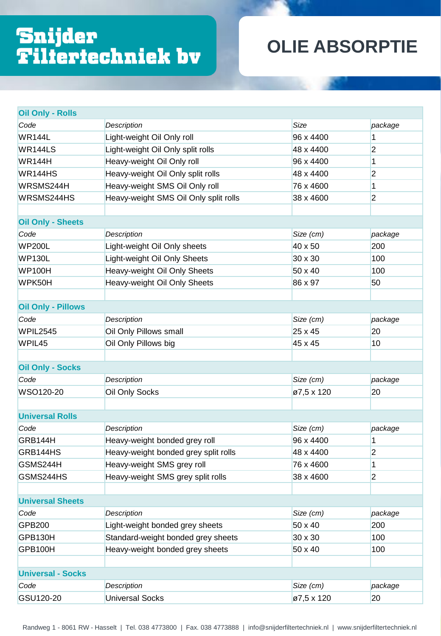## Snijder<br>Filtertechniek bv

## **OLIE ABSORPTIE**

| <b>Oil Only - Rolls</b>   |                                       |             |                |
|---------------------------|---------------------------------------|-------------|----------------|
| Code                      | Description                           | <b>Size</b> | package        |
| <b>WR144L</b>             | Light-weight Oil Only roll            | 96 x 4400   | 1              |
| WR144LS                   | Light-weight Oil Only split rolls     | 48 x 4400   | $\overline{2}$ |
| <b>WR144H</b>             | Heavy-weight Oil Only roll            | 96 x 4400   | 1              |
| WR144HS                   | Heavy-weight Oil Only split rolls     | 48 x 4400   | $\overline{2}$ |
| WRSMS244H                 | Heavy-weight SMS Oil Only roll        | 76 x 4600   | 1              |
| WRSMS244HS                | Heavy-weight SMS Oil Only split rolls | 38 x 4600   | $\overline{2}$ |
|                           |                                       |             |                |
| <b>Oil Only - Sheets</b>  |                                       |             |                |
| Code                      | <b>Description</b>                    | Size (cm)   | package        |
| <b>WP200L</b>             | Light-weight Oil Only sheets          | 40 x 50     | 200            |
| <b>WP130L</b>             | Light-weight Oil Only Sheets          | 30 x 30     | 100            |
| <b>WP100H</b>             | Heavy-weight Oil Only Sheets          | 50 x 40     | 100            |
| WPK50H                    | Heavy-weight Oil Only Sheets          | 86 x 97     | 50             |
|                           |                                       |             |                |
| <b>Oil Only - Pillows</b> |                                       |             |                |
| Code                      | Description                           | Size (cm)   | package        |
| WPIL2545                  | Oil Only Pillows small                | 25 x 45     | 20             |
| WPIL45                    | Oil Only Pillows big                  | 45 x 45     | 10             |
|                           |                                       |             |                |
| <b>Oil Only - Socks</b>   |                                       |             |                |
| Code                      | Description                           | Size (cm)   | package        |
| WSO120-20                 | Oil Only Socks                        | ø7,5 x 120  | 20             |
|                           |                                       |             |                |
| <b>Universal Rolls</b>    |                                       |             |                |
| Code                      | Description                           | Size (cm)   | package        |
| GRB144H                   | Heavy-weight bonded grey roll         | 96 x 4400   | 1              |
| GRB144HS                  | Heavy-weight bonded grey split rolls  | 48 x 4400   | $\overline{2}$ |
| GSMS244H                  | Heavy-weight SMS grey roll            | 76 x 4600   | 1              |
| GSMS244HS                 | Heavy-weight SMS grey split rolls     | 38 x 4600   | $\overline{2}$ |
|                           |                                       |             |                |
| <b>Universal Sheets</b>   |                                       |             |                |
| Code                      | <b>Description</b>                    | Size (cm)   | package        |
| <b>GPB200</b>             | Light-weight bonded grey sheets       | 50 x 40     | 200            |
| GPB130H                   | Standard-weight bonded grey sheets    | 30 x 30     | 100            |
| GPB100H                   | Heavy-weight bonded grey sheets       | 50 x 40     | 100            |
|                           |                                       |             |                |
| <b>Universal - Socks</b>  |                                       |             |                |
| Code                      | Description                           | Size (cm)   | package        |
| GSU120-20                 | <b>Universal Socks</b>                | Ø7,5 x 120  | 20             |